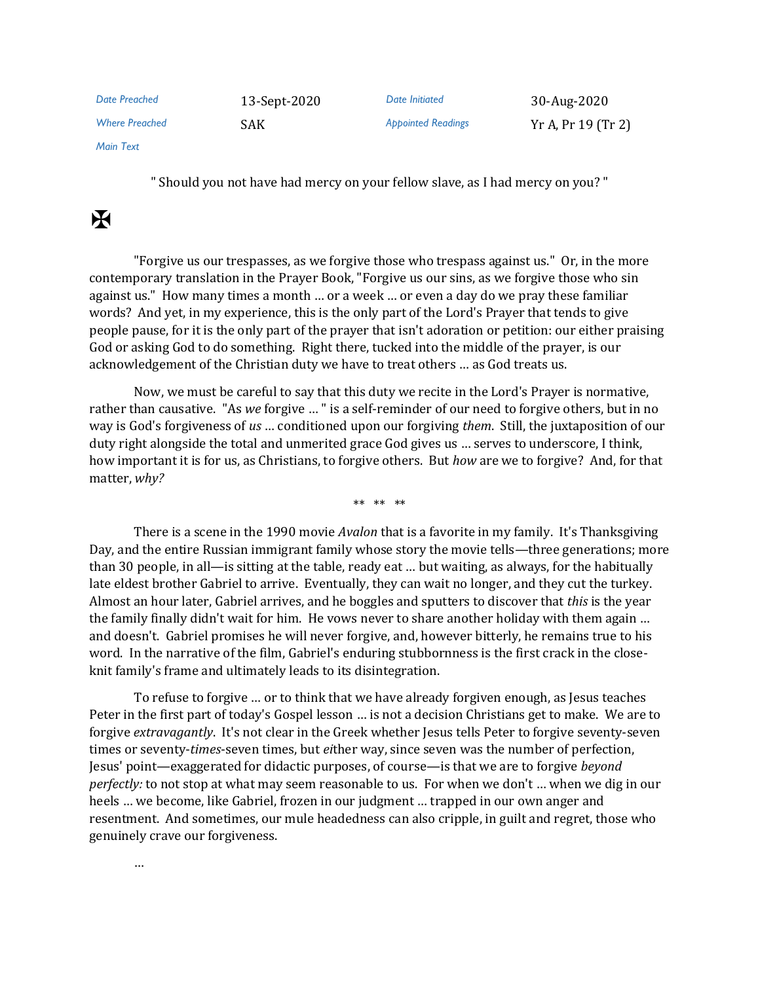| Date Preached         | 13-Sept-2020 | Date Initiated            | 30-Aug-2020        |
|-----------------------|--------------|---------------------------|--------------------|
| <b>Where Preached</b> | SAK          | <b>Appointed Readings</b> | Yr A, Pr 19 (Tr 2) |

*Main Text*

" Should you not have had mercy on your fellow slave, as I had mercy on you? "

## $\mathbf H$

"Forgive us our trespasses, as we forgive those who trespass against us." Or, in the more contemporary translation in the Prayer Book, "Forgive us our sins, as we forgive those who sin against us." How many times a month … or a week … or even a day do we pray these familiar words? And yet, in my experience, this is the only part of the Lord's Prayer that tends to give people pause, for it is the only part of the prayer that isn't adoration or petition: our either praising God or asking God to do something. Right there, tucked into the middle of the prayer, is our acknowledgement of the Christian duty we have to treat others … as God treats us.

Now, we must be careful to say that this duty we recite in the Lord's Prayer is normative, rather than causative. "As *we* forgive … " is a self-reminder of our need to forgive others, but in no way is God's forgiveness of *us* … conditioned upon our forgiving *them*. Still, the juxtaposition of our duty right alongside the total and unmerited grace God gives us … serves to underscore, I think, how important it is for us, as Christians, to forgive others. But *how* are we to forgive? And, for that matter, *why?*

\*\* \*\* \*\*

There is a scene in the 1990 movie *Avalon* that is a favorite in my family. It's Thanksgiving Day, and the entire Russian immigrant family whose story the movie tells—three generations; more than 30 people, in all—is sitting at the table, ready eat … but waiting, as always, for the habitually late eldest brother Gabriel to arrive. Eventually, they can wait no longer, and they cut the turkey. Almost an hour later, Gabriel arrives, and he boggles and sputters to discover that *this* is the year the family finally didn't wait for him. He vows never to share another holiday with them again … and doesn't. Gabriel promises he will never forgive, and, however bitterly, he remains true to his word. In the narrative of the film, Gabriel's enduring stubbornness is the first crack in the closeknit family's frame and ultimately leads to its disintegration.

To refuse to forgive … or to think that we have already forgiven enough, as Jesus teaches Peter in the first part of today's Gospel lesson … is not a decision Christians get to make. We are to forgive *extravagantly*. It's not clear in the Greek whether Jesus tells Peter to forgive seventy-seven times or seventy-*times*-seven times, but *ei*ther way, since seven was the number of perfection, Jesus' point—exaggerated for didactic purposes, of course—is that we are to forgive *beyond perfectly:* to not stop at what may seem reasonable to us. For when we don't … when we dig in our heels … we become, like Gabriel, frozen in our judgment … trapped in our own anger and resentment. And sometimes, our mule headedness can also cripple, in guilt and regret, those who genuinely crave our forgiveness.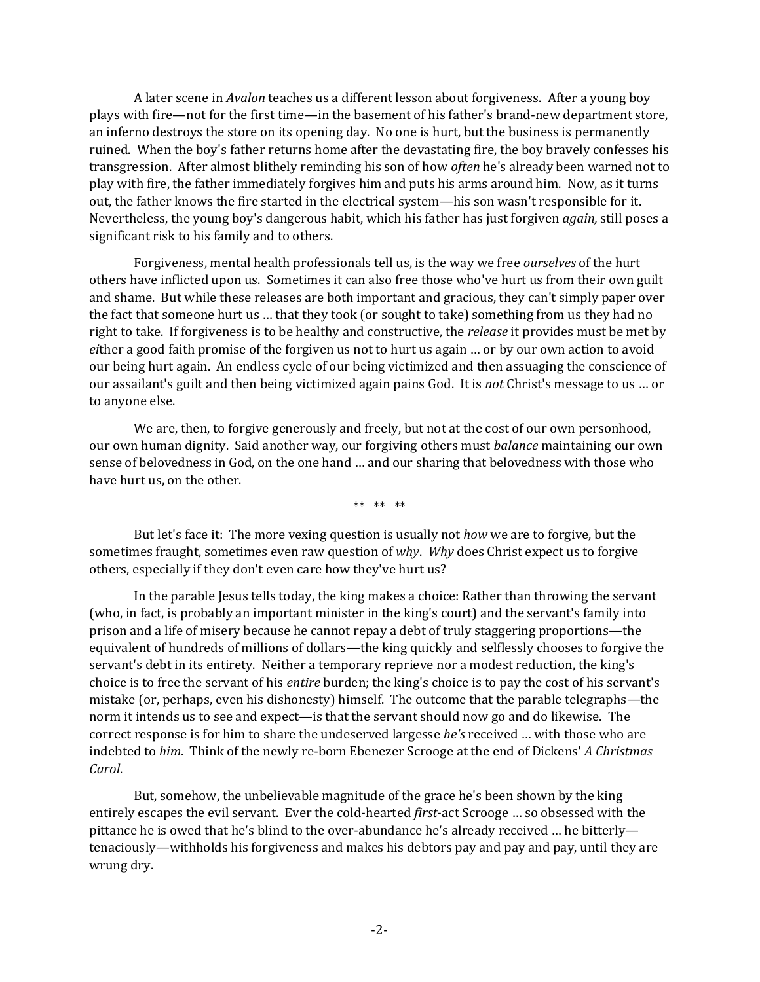A later scene in *Avalon* teaches us a different lesson about forgiveness. After a young boy plays with fire—not for the first time—in the basement of his father's brand-new department store, an inferno destroys the store on its opening day. No one is hurt, but the business is permanently ruined. When the boy's father returns home after the devastating fire, the boy bravely confesses his transgression. After almost blithely reminding his son of how *often* he's already been warned not to play with fire, the father immediately forgives him and puts his arms around him. Now, as it turns out, the father knows the fire started in the electrical system—his son wasn't responsible for it. Nevertheless, the young boy's dangerous habit, which his father has just forgiven *again,* still poses a significant risk to his family and to others.

Forgiveness, mental health professionals tell us, is the way we free *ourselves* of the hurt others have inflicted upon us. Sometimes it can also free those who've hurt us from their own guilt and shame. But while these releases are both important and gracious, they can't simply paper over the fact that someone hurt us … that they took (or sought to take) something from us they had no right to take. If forgiveness is to be healthy and constructive, the *release* it provides must be met by *ei*ther a good faith promise of the forgiven us not to hurt us again … or by our own action to avoid our being hurt again. An endless cycle of our being victimized and then assuaging the conscience of our assailant's guilt and then being victimized again pains God. It is *not* Christ's message to us … or to anyone else.

We are, then, to forgive generously and freely, but not at the cost of our own personhood, our own human dignity. Said another way, our forgiving others must *balance* maintaining our own sense of belovedness in God, on the one hand … and our sharing that belovedness with those who have hurt us, on the other.

\*\* \*\* \*\*

But let's face it: The more vexing question is usually not *how* we are to forgive, but the sometimes fraught, sometimes even raw question of *why*. *Why* does Christ expect us to forgive others, especially if they don't even care how they've hurt us?

In the parable Jesus tells today, the king makes a choice: Rather than throwing the servant (who, in fact, is probably an important minister in the king's court) and the servant's family into prison and a life of misery because he cannot repay a debt of truly staggering proportions—the equivalent of hundreds of millions of dollars—the king quickly and selflessly chooses to forgive the servant's debt in its entirety. Neither a temporary reprieve nor a modest reduction, the king's choice is to free the servant of his *entire* burden; the king's choice is to pay the cost of his servant's mistake (or, perhaps, even his dishonesty) himself. The outcome that the parable telegraphs—the norm it intends us to see and expect—is that the servant should now go and do likewise. The correct response is for him to share the undeserved largesse *he's* received … with those who are indebted to *him*. Think of the newly re-born Ebenezer Scrooge at the end of Dickens' *A Christmas Carol*.

But, somehow, the unbelievable magnitude of the grace he's been shown by the king entirely escapes the evil servant. Ever the cold-hearted *first*-act Scrooge … so obsessed with the pittance he is owed that he's blind to the over-abundance he's already received … he bitterly tenaciously—withholds his forgiveness and makes his debtors pay and pay and pay, until they are wrung dry.